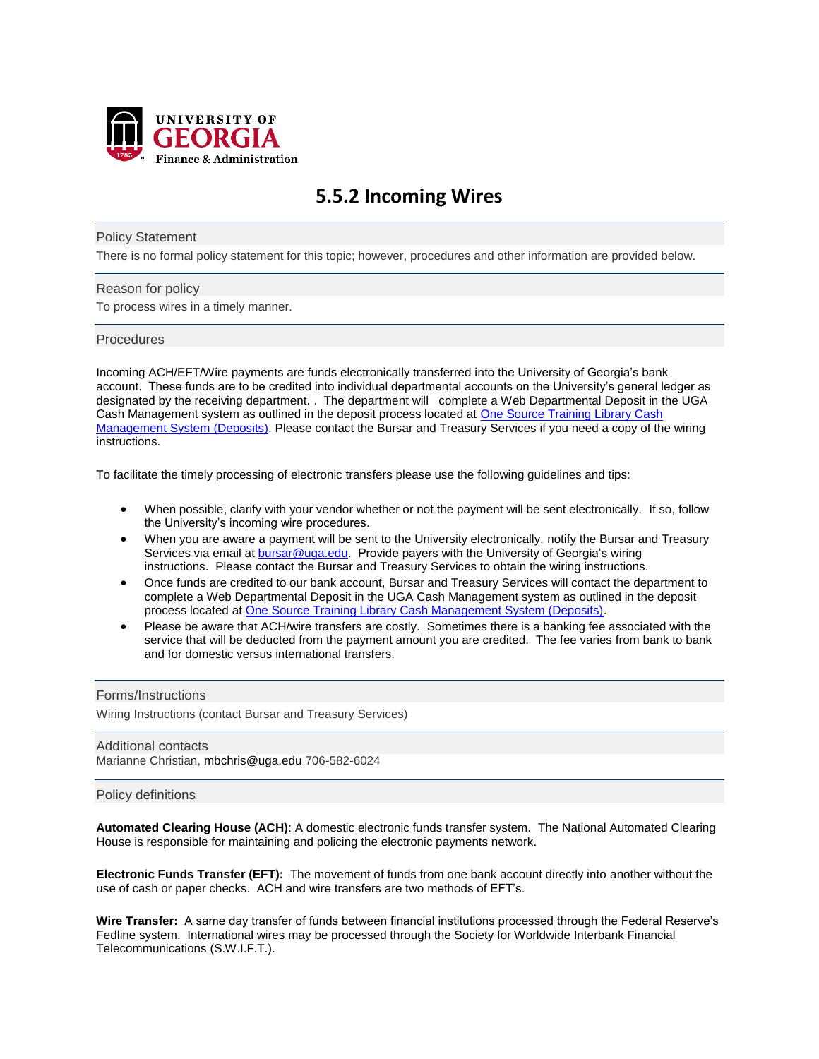

# **5.5.2 Incoming Wires**

## Policy Statement

There is no formal policy statement for this topic; however, procedures and other information are provided below.

## Reason for policy

To process wires in a timely manner.

# Procedures

Incoming ACH/EFT/Wire payments are funds electronically transferred into the University of Georgia's bank account. These funds are to be credited into individual departmental accounts on the University's general ledger as designated by the receiving department. . The department will complete a Web Departmental Deposit in the UGA Cash Management system as outlined in the deposit process located at [One Source Training Library Cash](https://training.onesource.uga.edu/UPK_Training/OneSourceOL/Publishing%20Content/PlayerPackage/data/toc.html)  [Management System \(Deposits\).](https://training.onesource.uga.edu/UPK_Training/OneSourceOL/Publishing%20Content/PlayerPackage/data/toc.html) Please contact the Bursar and Treasury Services if you need a copy of the wiring instructions.

To facilitate the timely processing of electronic transfers please use the following guidelines and tips:

- When possible, clarify with your vendor whether or not the payment will be sent electronically. If so, follow the University's incoming wire procedures.
- When you are aware a payment will be sent to the University electronically, notify the Bursar and Treasury Services via email at [bursar@uga.edu.](mailto:bursar@uga.edu) Provide payers with the University of Georgia's wiring instructions. Please contact the Bursar and Treasury Services to obtain the wiring instructions.
- Once funds are credited to our bank account, Bursar and Treasury Services will contact the department to complete a Web Departmental Deposit in the UGA Cash Management system as outlined in the deposit process located a[t One Source Training Library Cash Management System \(Deposits\).](https://training.onesource.uga.edu/UPK_Training/OneSourceOL/Publishing%20Content/PlayerPackage/data/toc.html)
- Please be aware that ACH/wire transfers are costly. Sometimes there is a banking fee associated with the service that will be deducted from the payment amount you are credited. The fee varies from bank to bank and for domestic versus international transfers.

## Forms/Instructions

Wiring Instructions (contact Bursar and Treasury Services)

Additional contacts Marianne Christian, [mbchris@uga.edu](mailto:mbchris@uga.edu) 706-582-6024

# Policy definitions

**Automated Clearing House (ACH)**: A domestic electronic funds transfer system. The National Automated Clearing House is responsible for maintaining and policing the electronic payments network.

**Electronic Funds Transfer (EFT):** The movement of funds from one bank account directly into another without the use of cash or paper checks. ACH and wire transfers are two methods of EFT's.

**Wire Transfer:** A same day transfer of funds between financial institutions processed through the Federal Reserve's Fedline system. International wires may be processed through the Society for Worldwide Interbank Financial Telecommunications (S.W.I.F.T.).